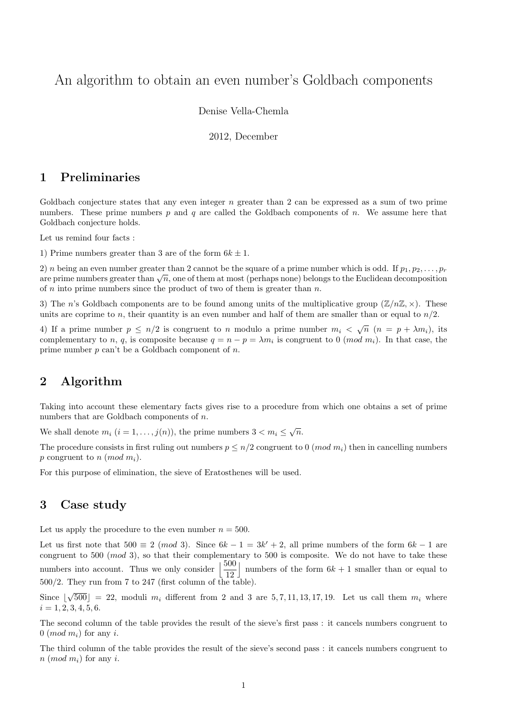# An algorithm to obtain an even number's Goldbach components

Denise Vella-Chemla

2012, December

### 1 Preliminaries

Goldbach conjecture states that any even integer  $n$  greater than 2 can be expressed as a sum of two prime numbers. These prime numbers  $p$  and  $q$  are called the Goldbach components of  $n$ . We assume here that Goldbach conjecture holds.

Let us remind four facts :

1) Prime numbers greater than 3 are of the form  $6k \pm 1$ .

2) n being an even number greater than 2 cannot be the square of a prime number which is odd. If  $p_1, p_2, \ldots, p_r$  $\alpha$  is the prime numbers greater than  $\alpha$  cannot be the square of a prime number which is odd. If  $p_1, p_2, \ldots, p_r$  are prime numbers greater than  $\sqrt{n}$ , one of them at most (perhaps none) belongs to the Euclidean decom of  $n$  into prime numbers since the product of two of them is greater than  $n$ .

3) The n's Goldbach components are to be found among units of the multiplicative group  $(\mathbb{Z}/n\mathbb{Z}, \times)$ . These units are coprime to n, their quantity is an even number and half of them are smaller than or equal to  $n/2$ .

4) If a prime number  $p \leq n/2$  is congruent to n modulo a prime number  $m_i < \sqrt{n}$   $(n = p + \lambda m_i)$ , its complementary to n, q, is composite because  $q = n - p = \lambda m_i$  is congruent to 0 (mod m<sub>i</sub>). In that case, the prime number  $p$  can't be a Goldbach component of  $n$ .

### 2 Algorithm

Taking into account these elementary facts gives rise to a procedure from which one obtains a set of prime numbers that are Goldbach components of  $n$ .

We shall denote  $m_i$   $(i = 1, ..., j(n))$ , the prime numbers  $3 < m_i \leq \sqrt{n}$ .

The procedure consists in first ruling out numbers  $p \leq n/2$  congruent to 0 (*mod m<sub>i</sub>*) then in cancelling numbers p congruent to n (mod  $m_i$ ).

For this purpose of elimination, the sieve of Eratosthenes will be used.

#### 3 Case study

Let us apply the procedure to the even number  $n = 500$ .

Let us first note that  $500 \equiv 2 \pmod{3}$ . Since  $6k - 1 = 3k' + 2$ , all prime numbers of the form  $6k - 1$  are congruent to 500 (mod 3), so that their complementary to 500 is composite. We do not have to take these numbers into account. Thus we only consider  $\frac{500}{120}$ 12 | numbers of the form  $6k + 1$  smaller than or equal to  $500/2$ . They run from 7 to 247 (first column of the table).

Since | √  $500\degree$  = 22, moduli  $m_i$  different from 2 and 3 are  $5, 7, 11, 13, 17, 19$ . Let us call them  $m_i$  where  $i = 1, 2, 3, 4, 5, 6.$ 

The second column of the table provides the result of the sieve's first pass : it cancels numbers congruent to  $0 \ (mod \ m_i)$  for any i.

The third column of the table provides the result of the sieve's second pass : it cancels numbers congruent to  $n \ (mod \ m_i)$  for any i.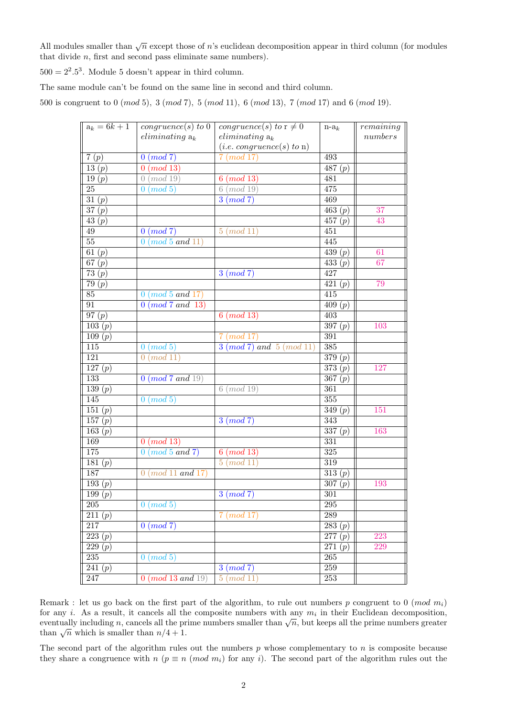All modules smaller than  $\sqrt{n}$  except those of n's euclidean decomposition appear in third column (for modules that divide n, first and second pass eliminate same numbers).

 $500 = 2^2.5^3$ . Module 5 doesn't appear in third column.

The same module can't be found on the same line in second and third column.

500 is congruent to 0 (mod 5), 3 (mod 7), 5 (mod 11), 6 (mod 13), 7 (mod 17) and 6 (mod 19).

| $\overline{a_k}=6k+1$           | congruence(s) to 0        | congruence(s) to $\overline{r\neq 0}$ | $n-a_k$                        | remaining |
|---------------------------------|---------------------------|---------------------------------------|--------------------------------|-----------|
|                                 | $eliminating a_k$         | $eliminating a_k$                     |                                | numbers   |
|                                 |                           | (i.e. congruence(s) to n)             |                                |           |
| 7(p)                            | 0 (mod 7)                 | 7 (mod 17)                            | 493                            |           |
| 13 $(p)$                        | (mod 13)<br>$\mathbf{0}$  |                                       | $\overline{487} (p)$           |           |
| 19(p)                           | (mod 19)<br>$\theta$      | $6 \ (mod \ 13)$                      | 481                            |           |
| $\overline{25}$                 | $0 \ (mod\ 5)$            | $6 \ (mod \ 19)$                      | 475                            |           |
| $\overline{31}\,(\overline{p})$ |                           | $3 \pmod{7}$                          | 469                            |           |
| $\overline{37(p)}$              |                           |                                       | $\overline{463(p)}$            | 37        |
| 43 $(p)$                        |                           |                                       | 457 $(p)$                      | 43        |
| $49\,$                          | $0 \ (mod\ 7)$            | $5 \ (mod \ 11)$                      | 451                            |           |
| $\overline{55}$                 | $0 \ (mod\ 5\ and\ 11)$   |                                       | 445                            |           |
| $\overline{61(p)}$              |                           |                                       | $\overline{439(p)}$            | 61        |
| 67 $(p)$                        |                           |                                       | $\overline{433(p)}$            | 67        |
| 73 $(p)$                        |                           | $3 \pmod{7}$                          | 427                            |           |
| $\overline{79(p)}$              |                           |                                       | $\overline{421(p)}$            | 79        |
| $85\,$                          | $0 \ (mod\ 5\ and\ 17)$   |                                       | $\overline{415}$               |           |
| 91                              | $0 \ (mod\ 7\ and\ 13)$   |                                       | $\overline{409}\left(p\right)$ |           |
| 97(p)                           |                           | $6 \ (mod \ 13)$                      | $\overline{403}$               |           |
| $\overline{103(p)}$             |                           |                                       | $\overline{3}97(p)$            | 103       |
| 109(p)                          |                           | $7 \ (mod \ 17)$                      | 391                            |           |
| 115                             | $0 \ (mod\ 5)$            | $3 \ (mod\ 7) \ and \ 5 \ (mod\ 11)$  | 385                            |           |
| 121                             | 0 (mod 11)                |                                       | $\overline{379(p)}$            |           |
| 127(p)                          |                           |                                       | 373(p)                         | 127       |
| 133                             | 0 (mod 7 and 19)          |                                       | 367 $(p)$                      |           |
| $\overline{139(p)}$             |                           | $6 \ (mod \ 19)$                      | $\overline{361}$               |           |
| 145                             | $0 \ (mod\ 5)$            |                                       | 355                            |           |
| 151 $(p)$                       |                           |                                       | $\overline{349}(p)$            | 151       |
| 157 $(p)$                       |                           | $3 \pmod{7}$                          | 343                            |           |
| $\overline{163}\ (p)$           |                           |                                       | $\overline{337(p)}$            | 163       |
| 169                             | $0 \ (mod \ 13)$          |                                       | 331                            |           |
| 175                             | $0 \ (mod\ 5\ and\ 7)$    | $6 \ (mod \ 13)$                      | 325                            |           |
| $\overline{181}\ (p)$           |                           | $5 \ (mod \ 11)$                      | 319                            |           |
| 187                             | $0 \ (mod\ 11 \ and\ 17)$ |                                       | $\overline{313}(p)$            |           |
| 193(p)                          |                           |                                       | 307(p)                         | 193       |
| 199 $(p)$                       |                           | $3 \pmod{7}$                          | $\overline{301}$               |           |
| $\overline{205}$                | $\overline{0 \ (mod\ 5)}$ |                                       | 295                            |           |
| 211 $(p)$                       |                           | $7 \ (mod \ 17)$                      | $289\,$                        |           |
| 217                             | $0 \pmod{7}$              |                                       | 283(p)                         |           |
| 223(p)                          |                           |                                       | $\overline{277}\,(p)$          | 223       |
| $\overline{229(p)}$             |                           |                                       | $\overline{271} (p)$           | 229       |
| $235\,$                         | $0 \ (mod\ 5)$            |                                       | $\overline{265}$               |           |
| $\overline{241}\ (p)$           |                           | $\overline{3}$ (mod 7)                | $\overline{259}$               |           |
| 247                             | 0 (mod 13 and 19)         | $5 \ (mod\ 11)$                       | $\overline{253}$               |           |

Remark : let us go back on the first part of the algorithm, to rule out numbers p congruent to 0 (mod  $m_i$ ) for any i. As a result, it cancels all the composite numbers with any  $m_i$  in their Euclidean decomposition, for any  $i$ . As a result, it cancels all the composite numbers with any  $m_i$  in their Euchdean decomposition, eventually including  $n$ , cancels all the prime numbers smaller than  $\sqrt{n}$ , but keeps all the prime numbers gr eventually including *n*, caller than  $n/4 + 1$ .

The second part of the algorithm rules out the numbers  $p$  whose complementary to  $n$  is composite because they share a congruence with  $n (p \equiv n (mod m_i)$  for any i). The second part of the algorithm rules out the